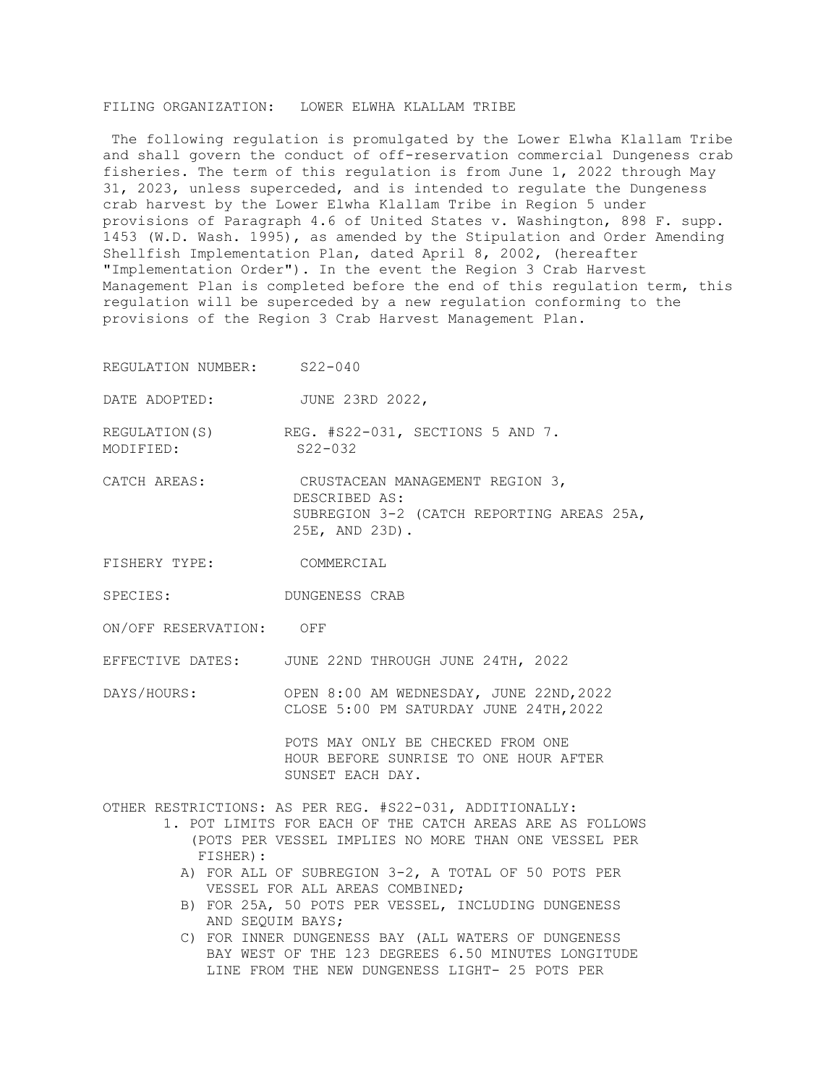## FILING ORGANIZATION: LOWER ELWHA KLALLAM TRIBE

The following regulation is promulgated by the Lower Elwha Klallam Tribe and shall govern the conduct of off-reservation commercial Dungeness crab fisheries. The term of this regulation is from June 1, 2022 through May 31, 2023, unless superceded, and is intended to regulate the Dungeness crab harvest by the Lower Elwha Klallam Tribe in Region 5 under provisions of Paragraph 4.6 of United States v. Washington, 898 F. supp. 1453 (W.D. Wash. 1995), as amended by the Stipulation and Order Amending Shellfish Implementation Plan, dated April 8, 2002, (hereafter "Implementation Order"). In the event the Region 3 Crab Harvest Management Plan is completed before the end of this regulation term, this regulation will be superceded by a new regulation conforming to the provisions of the Region 3 Crab Harvest Management Plan.

REGULATION NUMBER: S22-040

DATE ADOPTED: JUNE 23RD 2022,

REGULATION(S) REG. #S22-031, SECTIONS 5 AND 7. MODIFIED: S22-032

CATCH AREAS: CRUSTACEAN MANAGEMENT REGION 3, DESCRIBED AS: SUBREGION 3-2 (CATCH REPORTING AREAS 25A, 25E, AND 23D).

- FISHERY TYPE: COMMERCIAL
- SPECIES: DUNGENESS CRAB

ON/OFF RESERVATION: OFF

EFFECTIVE DATES: JUNE 22ND THROUGH JUNE 24TH, 2022

DAYS/HOURS: OPEN 8:00 AM WEDNESDAY, JUNE 22ND, 2022 CLOSE 5:00 PM SATURDAY JUNE 24TH,2022

> POTS MAY ONLY BE CHECKED FROM ONE HOUR BEFORE SUNRISE TO ONE HOUR AFTER SUNSET EACH DAY.

OTHER RESTRICTIONS: AS PER REG. #S22-031, ADDITIONALLY:

 1. POT LIMITS FOR EACH OF THE CATCH AREAS ARE AS FOLLOWS (POTS PER VESSEL IMPLIES NO MORE THAN ONE VESSEL PER FISHER):

- A) FOR ALL OF SUBREGION 3-2, A TOTAL OF 50 POTS PER VESSEL FOR ALL AREAS COMBINED;
- B) FOR 25A, 50 POTS PER VESSEL, INCLUDING DUNGENESS AND SEQUIM BAYS;
- C) FOR INNER DUNGENESS BAY (ALL WATERS OF DUNGENESS BAY WEST OF THE 123 DEGREES 6.50 MINUTES LONGITUDE LINE FROM THE NEW DUNGENESS LIGHT- 25 POTS PER